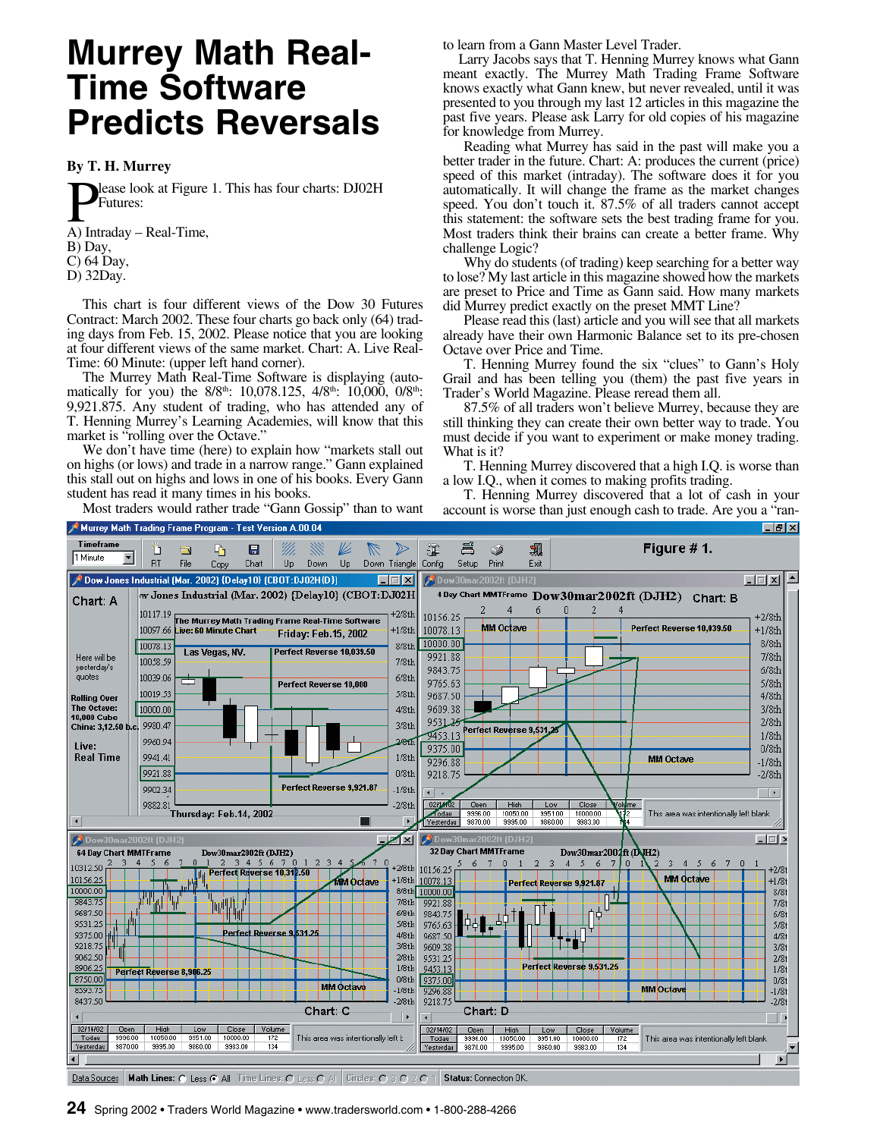# **Murrey Math Real-Time Software Predicts Reversals**

#### **By T. H. Murrey**

**D**ease look at Figure<br>
A) Intraday – Real-Time, lease look at Figure 1. This has four charts: DJ02H Futures:

- B) Day,
- C) 64 Day,
- D) 32Day.

This chart is four different views of the Dow 30 Futures Contract: March 2002. These four charts go back only (64) trading days from Feb. 15, 2002. Please notice that you are looking at four different views of the same market. Chart: A. Live Real-Time: 60 Minute: (upper left hand corner).

The Murrey Math Real-Time Software is displaying (automatically for you) the 8/8<sup>th</sup>: 10,078.125, 4/8<sup>th</sup>: 10,000, 0/8<sup>th</sup>: 9,921.875. Any student of trading, who has attended any of T. Henning Murrey's Learning Academies, will know that this market is "rolling over the Octave."

We don't have time (here) to explain how "markets stall out on highs (or lows) and trade in a narrow range." Gann explained this stall out on highs and lows in one of his books. Every Gann student has read it many times in his books.

Most traders would rather trade "Gann Gossip" than to want

to learn from a Gann Master Level Trader.

Larry Jacobs says that T. Henning Murrey knows what Gann meant exactly. The Murrey Math Trading Frame Software knows exactly what Gann knew, but never revealed, until it was presented to you through my last 12 articles in this magazine the past five years. Please ask Larry for old copies of his magazine for knowledge from Murrey.

Reading what Murrey has said in the past will make you a better trader in the future. Chart: A: produces the current (price) speed of this market (intraday). The software does it for you automatically. It will change the frame as the market changes speed. You don't touch it. 87.5% of all traders cannot accept this statement: the software sets the best trading frame for you. Most traders think their brains can create a better frame. Why challenge Logic?

Why do students (of trading) keep searching for a better way to lose? My last article in this magazine showed how the markets are preset to Price and Time as Gann said. How many markets did Murrey predict exactly on the preset MMT Line?

Please read this (last) article and you will see that all markets already have their own Harmonic Balance set to its pre-chosen Octave over Price and Time.

T. Henning Murrey found the six "clues" to Gann's Holy Grail and has been telling you (them) the past five years in Trader's World Magazine. Please reread them all.

87.5% of all traders won't believe Murrey, because they are still thinking they can create their own better way to trade. You must decide if you want to experiment or make money trading. What is it?

T. Henning Murrey discovered that a high I.Q. is worse than a low I.Q., when it comes to making profits trading.

T. Henning Murrey discovered that a lot of cash in your account is worse than just enough cash to trade. Are you a "ran-





**24** Spring 2002 • Traders World Magazine • www.tradersworld.com • 1-800-288-4266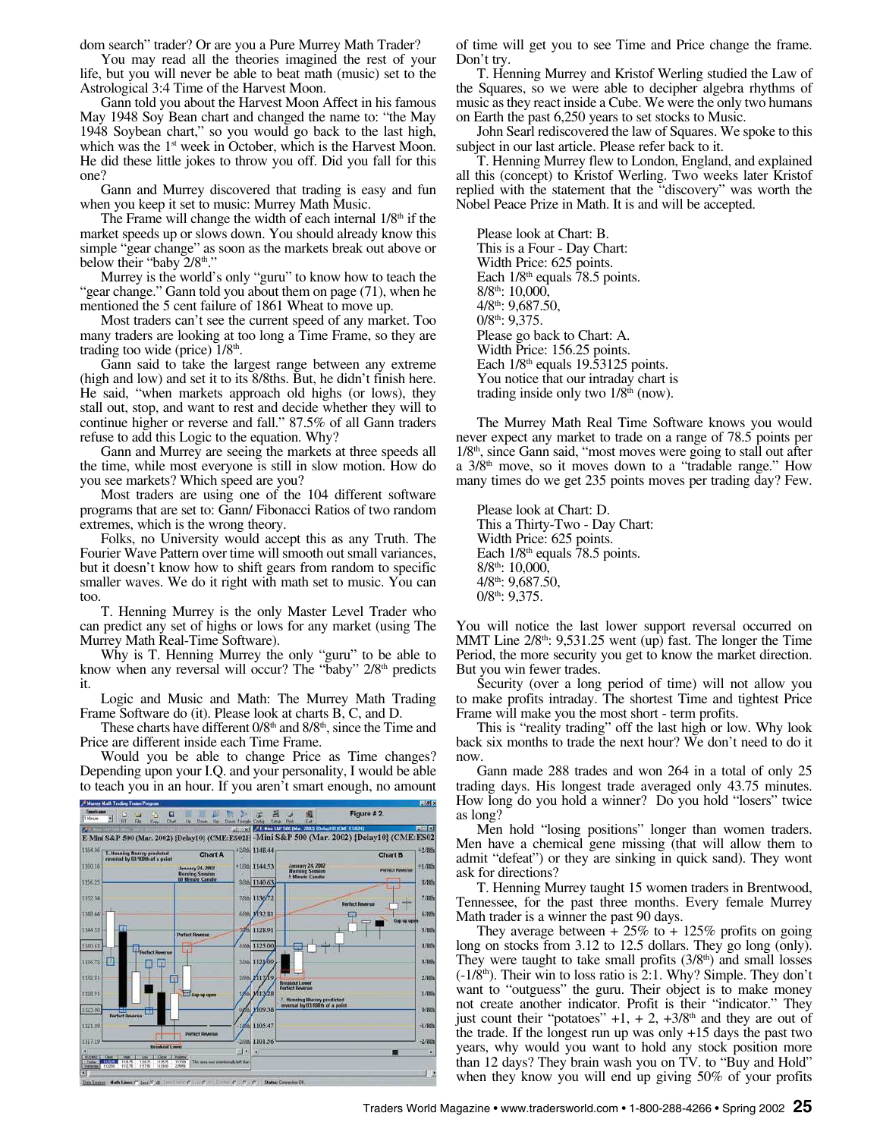dom search" trader? Or are you a Pure Murrey Math Trader?

You may read all the theories imagined the rest of your life, but you will never be able to beat math (music) set to the Astrological 3:4 Time of the Harvest Moon.

Gann told you about the Harvest Moon Affect in his famous May 1948 Soy Bean chart and changed the name to: "the May 1948 Soybean chart," so you would go back to the last high, which was the 1<sup>st</sup> week in October, which is the Harvest Moon. He did these little jokes to throw you off. Did you fall for this one?

Gann and Murrey discovered that trading is easy and fun when you keep it set to music: Murrey Math Music.

The Frame will change the width of each internal  $1/8<sup>th</sup>$  if the market speeds up or slows down. You should already know this simple "gear change" as soon as the markets break out above or below their "baby 2/8<sup>th</sup>."

Murrey is the world's only "guru" to know how to teach the "gear change." Gann told you about them on page (71), when he mentioned the 5 cent failure of 1861 Wheat to move up.

Most traders can't see the current speed of any market. Too many traders are looking at too long a Time Frame, so they are trading too wide (price)  $1/8<sup>th</sup>$ .

Gann said to take the largest range between any extreme (high and low) and set it to its 8/8ths. But, he didn't finish here. He said, "when markets approach old highs (or lows), they stall out, stop, and want to rest and decide whether they will to continue higher or reverse and fall." 87.5% of all Gann traders refuse to add this Logic to the equation. Why?

Gann and Murrey are seeing the markets at three speeds all the time, while most everyone is still in slow motion. How do you see markets? Which speed are you?

Most traders are using one of the 104 different software programs that are set to: Gann/ Fibonacci Ratios of two random extremes, which is the wrong theory.

Folks, no University would accept this as any Truth. The Fourier Wave Pattern over time will smooth out small variances, but it doesn't know how to shift gears from random to specific smaller waves. We do it right with math set to music. You can too.

T. Henning Murrey is the only Master Level Trader who can predict any set of highs or lows for any market (using The Murrey Math Real-Time Software).

Why is T. Henning Murrey the only "guru" to be able to know when any reversal will occur? The "baby" 2/8<sup>th</sup> predicts it.

Logic and Music and Math: The Murrey Math Trading Frame Software do (it). Please look at charts B, C, and D.

These charts have different 0/8<sup>th</sup> and 8/8<sup>th</sup>, since the Time and Price are different inside each Time Frame.

Would you be able to change Price as Time changes? Depending upon your I.Q. and your personality, I would be able to teach you in an hour. If you aren't smart enough, no amount



of time will get you to see Time and Price change the frame. Don't try.

T. Henning Murrey and Kristof Werling studied the Law of the Squares, so we were able to decipher algebra rhythms of music as they react inside a Cube. We were the only two humans on Earth the past 6,250 years to set stocks to Music.

John Searl rediscovered the law of Squares. We spoke to this subject in our last article. Please refer back to it.

T. Henning Murrey flew to London, England, and explained all this (concept) to Kristof Werling. Two weeks later Kristof replied with the statement that the "discovery" was worth the Nobel Peace Prize in Math. It is and will be accepted.

Please look at Chart: B. This is a Four - Day Chart: Width Price: 625 points. Each  $1/8<sup>th</sup>$  equals 78.5 points. 8/8th: 10,000, 4/8th: 9,687.50, 0/8<sup>th</sup>: 9,375. Please go back to Chart: A. Width Price: 156.25 points. Each  $1/8$ <sup>th</sup> equals 19.53125 points. You notice that our intraday chart is trading inside only two  $1/8<sup>th</sup>$  (now).

The Murrey Math Real Time Software knows you would never expect any market to trade on a range of 78.5 points per  $1/8<sup>th</sup>$ , since Gann said, "most moves were going to stall out after a  $3/8<sup>th</sup>$  move, so it moves down to a "tradable range." How many times do we get 235 points moves per trading day? Few.

Please look at Chart: D. This a Thirty-Two - Day Chart: Width Price: 625 points. Each  $1/8<sup>th</sup>$  equals 78.5 points. 8/8th: 10,000, 4/8th: 9,687.50, 0/8<sup>th</sup>: 9,375.

You will notice the last lower support reversal occurred on MMT Line  $2/8<sup>th</sup>$ : 9,531.25 went (up) fast. The longer the Time Period, the more security you get to know the market direction. But you win fewer trades.

Security (over a long period of time) will not allow you to make profits intraday. The shortest Time and tightest Price Frame will make you the most short - term profits.

This is "reality trading" off the last high or low. Why look back six months to trade the next hour? We don't need to do it now.

Gann made 288 trades and won 264 in a total of only 25 trading days. His longest trade averaged only 43.75 minutes. How long do you hold a winner? Do you hold "losers" twice as long?

Men hold "losing positions" longer than women traders. Men have a chemical gene missing (that will allow them to admit "defeat") or they are sinking in quick sand). They wont ask for directions?

T. Henning Murrey taught 15 women traders in Brentwood, Tennessee, for the past three months. Every female Murrey Math trader is a winner the past 90 days.

They average between  $+ 25\%$  to  $+ 125\%$  profits on going long on stocks from 3.12 to 12.5 dollars. They go long (only). They were taught to take small profits  $(3/8<sup>th</sup>)$  and small losses  $(-1/8<sup>th</sup>)$ . Their win to loss ratio is 2:1. Why? Simple. They don't want to "outguess" the guru. Their object is to make money not create another indicator. Profit is their "indicator." They just count their "potatoes"  $+1$ ,  $+ 2$ ,  $+3/8$ <sup>th</sup> and they are out of the trade. If the longest run up was only +15 days the past two years, why would you want to hold any stock position more than 12 days? They brain wash you on TV. to "Buy and Hold" when they know you will end up giving 50% of your profits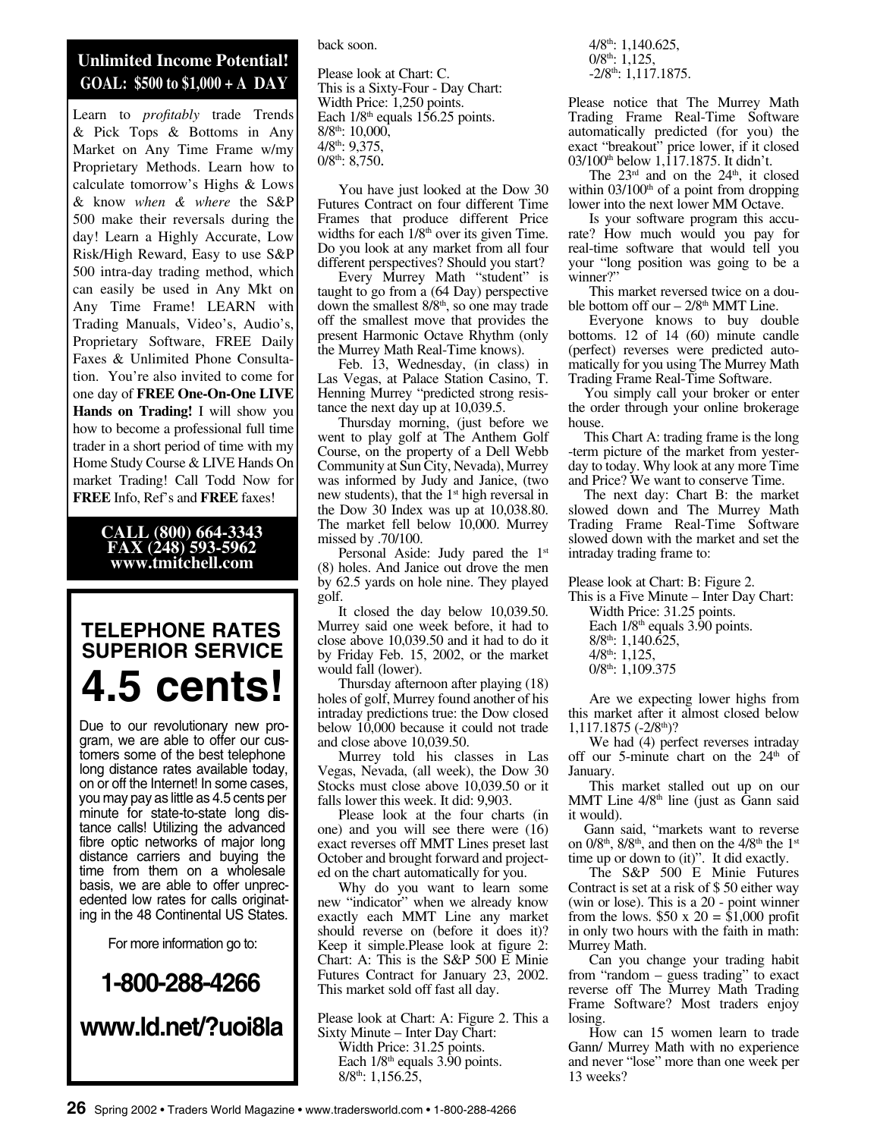### **Unlimited Income Potential! GOAL: \$500 to \$1,000 + A DAY**

Learn to *profitably* trade Trends & Pick Tops & Bottoms in Any Market on Any Time Frame w/my Proprietary Methods. Learn how to calculate tomorrow's Highs & Lows & know *when & where* the S&P 500 make their reversals during the day! Learn a Highly Accurate, Low Risk/High Reward, Easy to use S&P 500 intra-day trading method, which can easily be used in Any Mkt on Any Time Frame! LEARN with Trading Manuals, Video's, Audio's, Proprietary Software, FREE Daily Faxes & Unlimited Phone Consultation. You're also invited to come for one day of **FREE One-On-One LIVE Hands on Trading!** I will show you how to become a professional full time trader in a short period of time with my Home Study Course & LIVE Hands On market Trading! Call Todd Now for **FREE** Info, Ref's and **FREE** faxes!

#### **CALL (800) 664-3343 FAX (248) 593-5962 www.tmitchell.com**

Ī

### **TELEPHONE RATES SUPERIOR SERVICE 4.5 cents!**

Due to our revolutionary new program, we are able to offer our customers some of the best telephone long distance rates available today, on or off the Internet! In some cases, you may pay as little as 4.5 cents per minute for state-to-state long distance calls! Utilizing the advanced fibre optic networks of major long distance carriers and buying the time from them on a wholesale basis, we are able to offer unprecedented low rates for calls originating in the 48 Continental US States.

For more information go to:

# **1-800-288-4266 www.ld.net/?uoi8la**

#### back soon.

Please look at Chart: C. This is a Sixty-Four - Day Chart: Width Price: 1,250 points. Each  $1/8<sup>th</sup>$  equals  $156.25$  points. 8/8th: 10,000, 4/8th: 9,375,  $0/8^{\text{th}}$ : 8,750.

You have just looked at the Dow 30 Futures Contract on four different Time Frames that produce different Price widths for each  $1/8<sup>th</sup>$  over its given Time. Do you look at any market from all four different perspectives? Should you start?

Every Murrey Math "student" is taught to go from a (64 Day) perspective down the smallest  $8/8<sup>th</sup>$ , so one may trade off the smallest move that provides the present Harmonic Octave Rhythm (only the Murrey Math Real-Time knows).

Feb. 13, Wednesday, (in class) in Las Vegas, at Palace Station Casino, T. Henning Murrey "predicted strong resistance the next day up at 10,039.5.

Thursday morning, (just before we went to play golf at The Anthem Golf Course, on the property of a Dell Webb Community at Sun City, Nevada), Murrey was informed by Judy and Janice, (two new students), that the 1<sup>st</sup> high reversal in the Dow 30 Index was up at 10,038.80. The market fell below 10,000. Murrey missed by .70/100.

Personal Aside: Judy pared the 1<sup>st</sup> (8) holes. And Janice out drove the men by 62.5 yards on hole nine. They played golf.

It closed the day below 10,039.50. Murrey said one week before, it had to close above 10,039.50 and it had to do it by Friday Feb. 15, 2002, or the market would fall (lower).

Thursday afternoon after playing (18) holes of golf, Murrey found another of his intraday predictions true: the Dow closed below 10,000 because it could not trade and close above 10,039.50.

Murrey told his classes in Las Vegas, Nevada, (all week), the Dow 30 Stocks must close above 10,039.50 or it falls lower this week. It did: 9,903.

Please look at the four charts (in one) and you will see there were (16) exact reverses off MMT Lines preset last October and brought forward and projected on the chart automatically for you.

Why do you want to learn some new "indicator" when we already know exactly each MMT Line any market should reverse on (before it does it)? Keep it simple.Please look at figure 2: Chart: A: This is the S&P 500 E Minie Futures Contract for January 23, 2002. This market sold off fast all day.

Please look at Chart: A: Figure 2. This a Sixty Minute – Inter Day Chart: Width Price: 31.25 points. Each  $1/8<sup>th</sup>$  equals 3.90 points.  $8/8^{\text{th}}$ : 1,156.25,

4/8th: 1,140.625,  $0/8^{\text{th}}$ : 1,125,  $-2/8$ <sup>th</sup>: 1,117.1875.

Please notice that The Murrey Math Trading Frame Real-Time Software automatically predicted (for you) the exact "breakout" price lower, if it closed 03/100<sup>th</sup> below 1,117.1875. It didn't.

The  $23<sup>rd</sup>$  and on the  $24<sup>th</sup>$ , it closed within  $03/100<sup>th</sup>$  of a point from dropping lower into the next lower MM Octave.

Is your software program this accurate? How much would you pay for real-time software that would tell you your "long position was going to be a winner?"

This market reversed twice on a double bottom off our  $-2/8$ <sup>th</sup> MMT Line.

Everyone knows to buy double bottoms. 12 of 14 (60) minute candle (perfect) reverses were predicted automatically for you using The Murrey Math Trading Frame Real-Time Software.

You simply call your broker or enter the order through your online brokerage house.

This Chart A: trading frame is the long -term picture of the market from yesterday to today. Why look at any more Time and Price? We want to conserve Time.

The next day: Chart B: the market slowed down and The Murrey Math Trading Frame Real-Time Software slowed down with the market and set the intraday trading frame to:

Please look at Chart: B: Figure 2.

This is a Five Minute – Inter Day Chart: Width Price: 31.25 points.

Each  $1/8<sup>th</sup>$  equals 3.90 points. 8/8th: 1,140.625,  $4/8$ <sup>th</sup>: 1,125,  $0/8$ <sup>th</sup>: 1,109.375

Are we expecting lower highs from this market after it almost closed below 1,117.1875 (-2/8th)?

We had (4) perfect reverses intraday off our 5-minute chart on the  $24<sup>th</sup>$  of January.

This market stalled out up on our MMT Line  $4/8<sup>th</sup>$  line (just as Gann said it would).

Gann said, "markets want to reverse on  $0/8<sup>th</sup>$ ,  $8/8<sup>th</sup>$ , and then on the  $4/8<sup>th</sup>$  the  $1<sup>st</sup>$ time up or down to (it)". It did exactly.

The S&P 500 E Minie Futures Contract is set at a risk of \$ 50 either way (win or lose). This is a 20 - point winner from the lows.  $$50 \times 20 = $1,000$  profit in only two hours with the faith in math: Murrey Math.

Can you change your trading habit from "random – guess trading" to exact reverse off The Murrey Math Trading Frame Software? Most traders enjoy losing.

How can 15 women learn to trade Gann/ Murrey Math with no experience and never "lose" more than one week per 13 weeks?